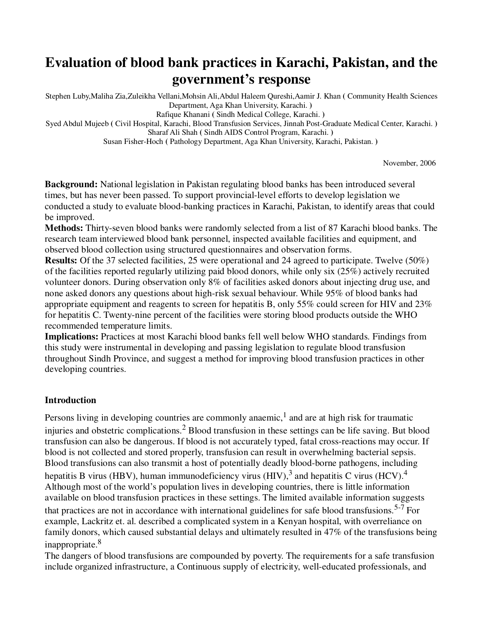# **Evaluation of blood bank practices in Karachi, Pakistan, and the government's response**

Stephen Luby,Maliha Zia,Zuleikha Vellani,Mohsin Ali,Abdul Haleem Qureshi,Aamir J. Khan **(** Community Health Sciences Department, Aga Khan University, Karachi. **)** 

Rafique Khanani **(** Sindh Medical College, Karachi. **)** 

Syed Abdul Mujeeb **(** Civil Hospital, Karachi, Blood Transfusion Services, Jinnah Post-Graduate Medical Center, Karachi. **)** Sharaf Ali Shah **(** Sindh AIDS Control Program, Karachi. **)** 

Susan Fisher-Hoch **(** Pathology Department, Aga Khan University, Karachi, Pakistan. **)** 

November, 2006

**Background:** National legislation in Pakistan regulating blood banks has been introduced several times, but has never been passed. To support provincial-level efforts to develop legislation we conducted a study to evaluate blood-banking practices in Karachi, Pakistan, to identify areas that could be improved.

**Methods:** Thirty-seven blood banks were randomly selected from a list of 87 Karachi blood banks. The research team interviewed blood bank personnel, inspected available facilities and equipment, and observed blood collection using structured questionnaires and observation forms.

**Results:** Of the 37 selected facilities, 25 were operational and 24 agreed to participate. Twelve (50%) of the facilities reported regularly utilizing paid blood donors, while only six (25%) actively recruited volunteer donors. During observation only 8% of facilities asked donors about injecting drug use, and none asked donors any questions about high-risk sexual behaviour. While 95% of blood banks had appropriate equipment and reagents to screen for hepatitis B, only 55% could screen for HIV and 23% for hepatitis C. Twenty-nine percent of the facilities were storing blood products outside the WHO recommended temperature limits.

**Implications:** Practices at most Karachi blood banks fell well below WHO standards. Findings from this study were instrumental in developing and passing legislation to regulate blood transfusion throughout Sindh Province, and suggest a method for improving blood transfusion practices in other developing countries.

### **Introduction**

Persons living in developing countries are commonly anaemic,<sup>1</sup> and are at high risk for traumatic injuries and obstetric complications.<sup>2</sup> Blood transfusion in these settings can be life saving. But blood transfusion can also be dangerous. If blood is not accurately typed, fatal cross-reactions may occur. If blood is not collected and stored properly, transfusion can result in overwhelming bacterial sepsis. Blood transfusions can also transmit a host of potentially deadly blood-borne pathogens, including hepatitis B virus (HBV), human immunodeficiency virus (HIV),<sup>3</sup> and hepatitis C virus (HCV).<sup>4</sup> Although most of the world's population lives in developing countries, there is little information available on blood transfusion practices in these settings. The limited available information suggests that practices are not in accordance with international guidelines for safe blood transfusions.5-7 For example, Lackritz et. al. described a complicated system in a Kenyan hospital, with overreliance on family donors, which caused substantial delays and ultimately resulted in 47% of the transfusions being inappropriate.<sup>8</sup>

The dangers of blood transfusions are compounded by poverty. The requirements for a safe transfusion include organized infrastructure, a Continuous supply of electricity, well-educated professionals, and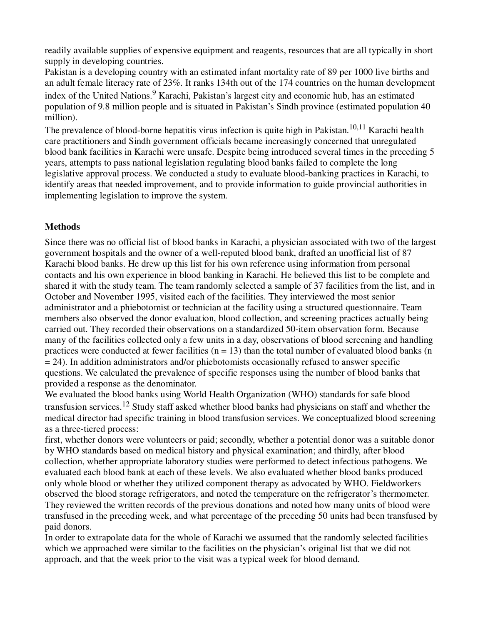readily available supplies of expensive equipment and reagents, resources that are all typically in short supply in developing countries.

Pakistan is a developing country with an estimated infant mortality rate of 89 per 1000 live births and an adult female literacy rate of 23%. It ranks 134th out of the 174 countries on the human development index of the United Nations.<sup>9</sup> Karachi, Pakistan's largest city and economic hub, has an estimated population of 9.8 million people and is situated in Pakistan's Sindh province (estimated population 40 million).

The prevalence of blood-borne hepatitis virus infection is quite high in Pakistan.<sup>10,11</sup> Karachi health care practitioners and Sindh government officials became increasingly concerned that unregulated blood bank facilities in Karachi were unsafe. Despite being introduced several times in the preceding 5 years, attempts to pass national legislation regulating blood banks failed to complete the long legislative approval process. We conducted a study to evaluate blood-banking practices in Karachi, to identify areas that needed improvement, and to provide information to guide provincial authorities in implementing legislation to improve the system.

### **Methods**

Since there was no official list of blood banks in Karachi, a physician associated with two of the largest government hospitals and the owner of a well-reputed blood bank, drafted an unofficial list of 87 Karachi blood banks. He drew up this list for his own reference using information from personal contacts and his own experience in blood banking in Karachi. He believed this list to be complete and shared it with the study team. The team randomly selected a sample of 37 facilities from the list, and in October and November 1995, visited each of the facilities. They interviewed the most senior administrator and a phiebotomist or technician at the facility using a structured questionnaire. Team members also observed the donor evaluation, blood collection, and screening practices actually being carried out. They recorded their observations on a standardized 50-item observation form. Because many of the facilities collected only a few units in a day, observations of blood screening and handling practices were conducted at fewer facilities  $(n = 13)$  than the total number of evaluated blood banks  $(n - 13)$  $= 24$ ). In addition administrators and/or phiebotomists occasionally refused to answer specific questions. We calculated the prevalence of specific responses using the number of blood banks that provided a response as the denominator.

We evaluated the blood banks using World Health Organization (WHO) standards for safe blood transfusion services.12 Study staff asked whether blood banks had physicians on staff and whether the medical director had specific training in blood transfusion services. We conceptualized blood screening as a three-tiered process:

first, whether donors were volunteers or paid; secondly, whether a potential donor was a suitable donor by WHO standards based on medical history and physical examination; and thirdly, after blood collection, whether appropriate laboratory studies were performed to detect infectious pathogens. We evaluated each blood bank at each of these levels. We also evaluated whether blood banks produced only whole blood or whether they utilized component therapy as advocated by WHO. Fieldworkers observed the blood storage refrigerators, and noted the temperature on the refrigerator's thermometer. They reviewed the written records of the previous donations and noted how many units of blood were transfused in the preceding week, and what percentage of the preceding 50 units had been transfused by paid donors.

In order to extrapolate data for the whole of Karachi we assumed that the randomly selected facilities which we approached were similar to the facilities on the physician's original list that we did not approach, and that the week prior to the visit was a typical week for blood demand.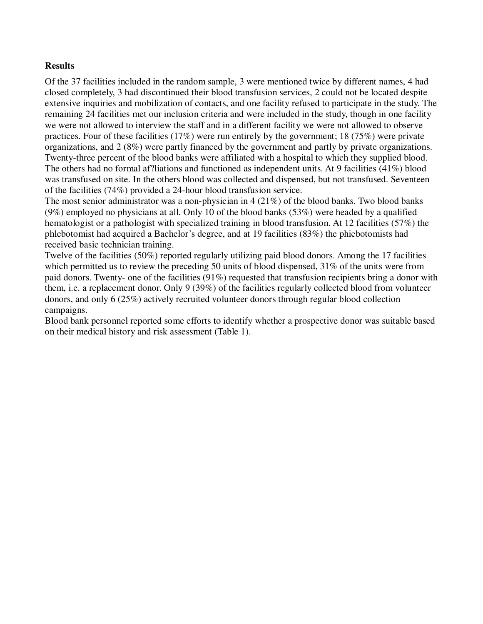### **Results**

Of the 37 facilities included in the random sample, 3 were mentioned twice by different names, 4 had closed completely, 3 had discontinued their blood transfusion services, 2 could not be located despite extensive inquiries and mobilization of contacts, and one facility refused to participate in the study. The remaining 24 facilities met our inclusion criteria and were included in the study, though in one facility we were not allowed to interview the staff and in a different facility we were not allowed to observe practices. Four of these facilities (17%) were run entirely by the government; 18 (75%) were private organizations, and 2 (8%) were partly financed by the government and partly by private organizations. Twenty-three percent of the blood banks were affiliated with a hospital to which they supplied blood. The others had no formal af?liations and functioned as independent units. At 9 facilities (41%) blood was transfused on site. In the others blood was collected and dispensed, but not transfused. Seventeen of the facilities (74%) provided a 24-hour blood transfusion service.

The most senior administrator was a non-physician in 4 (21%) of the blood banks. Two blood banks (9%) employed no physicians at all. Only 10 of the blood banks (53%) were headed by a qualified hematologist or a pathologist with specialized training in blood transfusion. At 12 facilities (57%) the phlebotomist had acquired a Bachelor's degree, and at 19 facilities (83%) the phiebotomists had received basic technician training.

Twelve of the facilities (50%) reported regularly utilizing paid blood donors. Among the 17 facilities which permitted us to review the preceding 50 units of blood dispensed, 31% of the units were from paid donors. Twenty- one of the facilities (91%) requested that transfusion recipients bring a donor with them, i.e. a replacement donor. Only 9 (39%) of the facilities regularly collected blood from volunteer donors, and only 6 (25%) actively recruited volunteer donors through regular blood collection campaigns.

Blood bank personnel reported some efforts to identify whether a prospective donor was suitable based on their medical history and risk assessment (Table 1).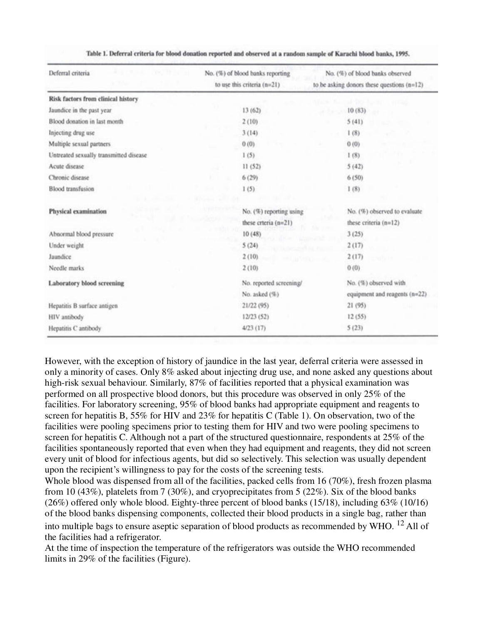| Deferral criteria                      | No. (%) of blood banks reporting<br>to use this criteria $(n=21)$ | No. (%) of blood banks observed<br>to be asking donors these questions $(n=12)$ |  |
|----------------------------------------|-------------------------------------------------------------------|---------------------------------------------------------------------------------|--|
| Risk factors from clinical history     |                                                                   |                                                                                 |  |
| Jaundice in the past year              | 13(62)                                                            | 10(83)                                                                          |  |
| Blood donation in last month           | 2(10)                                                             | 5(41)                                                                           |  |
| Injecting drug use                     | 3(14)                                                             | 1(8)                                                                            |  |
| Multiple sexual partners               | 0(0)                                                              | 0(0)                                                                            |  |
| Untreated sexually transmitted disease | 1(5)                                                              | 1(8)                                                                            |  |
| Acute disease                          | 11(52)                                                            | 5(42)                                                                           |  |
| Chronic disease                        | 6(29)                                                             | 6(50)                                                                           |  |
| <b>Blood</b> transfusion               | 1(5)                                                              | 1(8)                                                                            |  |
| Physical examination                   | No. (%) reporting using                                           | No. (%) observed to evaluate                                                    |  |
|                                        | these crteria (n=21)                                              | these criteria $(n=12)$                                                         |  |
| Abnormal blood pressure                | 10(48)                                                            | 3(25)                                                                           |  |
| Under weight                           | 5(24)                                                             | 2(17)                                                                           |  |
| Jaundice                               | 2(10)                                                             | 2(17)                                                                           |  |
| Needle marks                           | 2(10)                                                             | 0(0)                                                                            |  |
| Laboratory blood screening             | No. reported screening/                                           | No. (%) observed with                                                           |  |
|                                        | No. asked (%)                                                     | equipment and reagents (n=22)                                                   |  |
| Hepatitis B surface antigen            | 21/22 (95)                                                        | 21(95)                                                                          |  |
| HIV antibody                           | 12/23(52)                                                         | 12(55)                                                                          |  |
| Hepatitis C antibody                   | 4/23 (17)                                                         | 5(23)                                                                           |  |

Table 1. Deferral criteria for blood donation reported and observed at a random sample of Karachi blood banks, 1995.

However, with the exception of history of jaundice in the last year, deferral criteria were assessed in only a minority of cases. Only 8% asked about injecting drug use, and none asked any questions about high-risk sexual behaviour. Similarly, 87% of facilities reported that a physical examination was performed on all prospective blood donors, but this procedure was observed in only 25% of the facilities. For laboratory screening, 95% of blood banks had appropriate equipment and reagents to screen for hepatitis B, 55% for HIV and 23% for hepatitis C (Table 1). On observation, two of the facilities were pooling specimens prior to testing them for HIV and two were pooling specimens to screen for hepatitis C. Although not a part of the structured questionnaire, respondents at 25% of the facilities spontaneously reported that even when they had equipment and reagents, they did not screen every unit of blood for infectious agents, but did so selectively. This selection was usually dependent upon the recipient's willingness to pay for the costs of the screening tests.

Whole blood was dispensed from all of the facilities, packed cells from 16 (70%), fresh frozen plasma from 10 (43%), platelets from 7 (30%), and cryoprecipitates from 5 (22%). Six of the blood banks (26%) offered only whole blood. Eighty-three percent of blood banks (15/18), including 63% (10/16) of the blood banks dispensing components, collected their blood products in a single bag, rather than into multiple bags to ensure aseptic separation of blood products as recommended by WHO. 12 All of the facilities had a refrigerator.

At the time of inspection the temperature of the refrigerators was outside the WHO recommended limits in 29% of the facilities (Figure).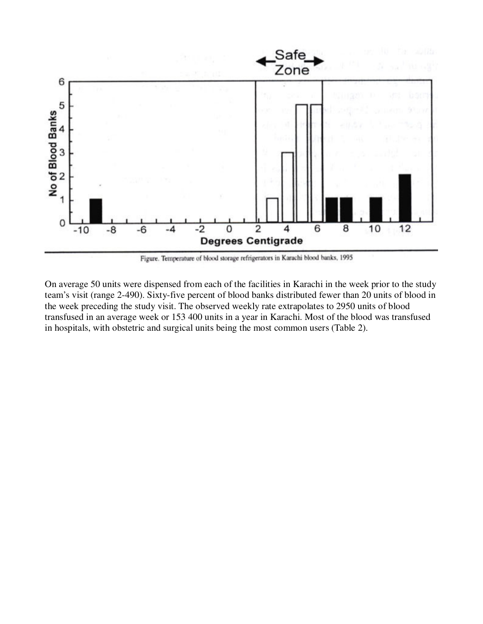

Figure. Temperature of blood storage refrigerators in Karachi blood banks, 1995

On average 50 units were dispensed from each of the facilities in Karachi in the week prior to the study team's visit (range 2-490). Sixty-five percent of blood banks distributed fewer than 20 units of blood in the week preceding the study visit. The observed weekly rate extrapolates to 2950 units of blood transfused in an average week or 153 400 units in a year in Karachi. Most of the blood was transfused in hospitals, with obstetric and surgical units being the most common users (Table 2).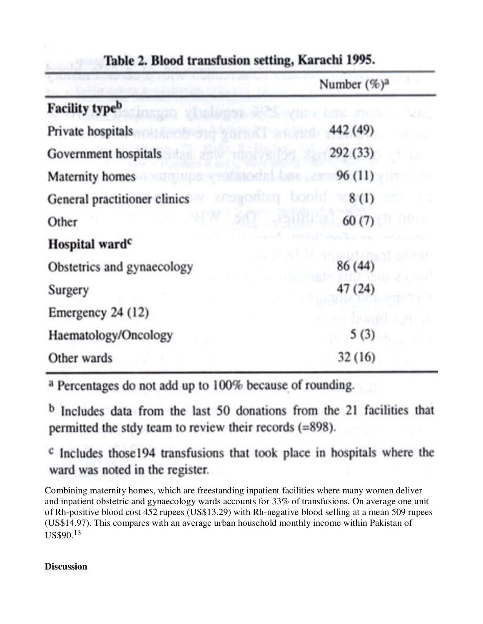|                                                                                                                                                                                                                                | Number $(\%)^a$       |  |
|--------------------------------------------------------------------------------------------------------------------------------------------------------------------------------------------------------------------------------|-----------------------|--|
| Facility type <sup>b</sup> cinema visitingen and soviet                                                                                                                                                                        |                       |  |
| Private hospitals<br>FOID BUILDED RICHAR                                                                                                                                                                                       | 442 (49)              |  |
| Government hospitals and an annual state of the state of the state of the state of the state of the state of the state of the state of the state of the state of the state of the state of the state of the state of the state | 292(33)               |  |
| Maternity homes and the property                                                                                                                                                                                               | $\frac{1}{2}$ 96 (11) |  |
| General practitioner clinics                                                                                                                                                                                                   | bootd<br>8(1)         |  |
| <b>Jasqueine</b><br>Other                                                                                                                                                                                                      | 60(7)                 |  |
| Hospital ward <sup>c</sup>                                                                                                                                                                                                     |                       |  |
| Obstetrics and gynaecology                                                                                                                                                                                                     | 86 (44)               |  |
| Surgery                                                                                                                                                                                                                        | 47 (24)               |  |
| Emergency 24 (12)                                                                                                                                                                                                              |                       |  |
| Haematology/Oncology                                                                                                                                                                                                           | 5(3)                  |  |
| Other wards                                                                                                                                                                                                                    | 32 (16)               |  |

## Table 2. Blood transfusion setting, Karachi 1995.

a Percentages do not add up to 100% because of rounding.

b Includes data from the last 50 donations from the 21 facilities that permitted the stdy team to review their records (=898).

c Includes those194 transfusions that took place in hospitals where the ward was noted in the register.

Combining maternity homes, which are freestanding inpatient facilities where many women deliver and inpatient obstetric and gynaecology wards accounts for 33% of transfusions. On average one unit of Rh-positive blood cost 452 rupees (US\$13.29) with Rh-negative blood selling at a mean 509 rupees (US\$14.97). This compares with an average urban household monthly income within Pakistan of US\$90.<sup>13</sup>

### **Discussion**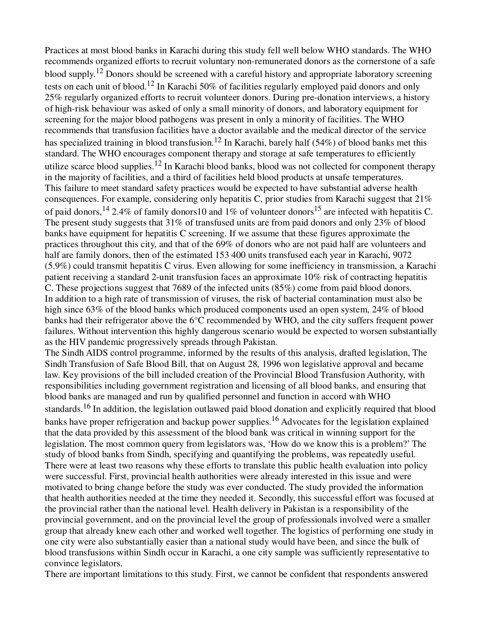Practices at most blood banks in Karachi during this study fell well below WHO standards. The WHO recommends organized efforts to recruit voluntary non-remunerated donors as the cornerstone of a safe blood supply.<sup>12</sup> Donors should be screened with a careful history and appropriate laboratory screening tests on each unit of blood.<sup>12</sup> In Karachi 50% of facilities regularly employed paid donors and only 25% regularly organized efforts to recruit volunteer donors. During pre-donation interviews, a history of high-risk behaviour was asked of only a small minority of donors, and laboratory equipment for screening for the major blood pathogens was present in only a minority of facilities. The WHO recommends that transfusion facilities have a doctor available and the medical director of the service has specialized training in blood transfusion.<sup>12</sup> In Karachi, barely half (54%) of blood banks met this standard. The WHO encourages component therapy and storage at safe temperatures to efficiently utilize scarce blood supplies.<sup>12</sup> In Karachi blood banks, blood was not collected for component therapy in the majority of facilities, and a third of facilities held blood products at unsafe temperatures. This failure to meet standard safety practices would be expected to have substantial adverse health consequences. For example, considering only hepatitis C, prior studies from Karachi suggest that 21% of paid donors,<sup>14</sup> 2.4% of family donors10 and 1% of volunteer donors<sup>15</sup> are infected with hepatitis C. The present study suggests that 31% of transfused units are from paid donors and only 23% of blood banks have equipment for hepatitis C screening. If we assume that these figures approximate the practices throughout this city, and that of the 69% of donors who are not paid half are volunteers and half are family donors, then of the estimated 153 400 units transfused each year in Karachi, 9072 (5.9%) could transmit hepatitis C virus. Even allowing for some inefficiency in transmission, a Karachi patient receiving a standard 2-unit transfusion faces an approximate 10% risk of contracting hepatitis C. These projections suggest that 7689 of the infected units (85%) come from paid blood donors. In addition to a high rate of transmission of viruses, the risk of bacterial contamination must also be high since 63% of the blood banks which produced components used an open system, 24% of blood banks had their refrigerator above the 6°C recommended by WHO, and the city suffers frequent power failures. Without intervention this highly dangerous scenario would be expected to worsen substantially as the HIV pandemic progressively spreads through Pakistan.

The Sindh AIDS control programme, informed by the results of this analysis, drafted legislation, The Sindh Transfusion of Safe Blood Bill, that on August 28, 1996 won legislative approval and became law. Key provisions of the bill included creation of the Provincial Blood Transfusion Authority, with responsibilities including government registration and licensing of all blood banks, and ensuring that blood banks are managed and run by qualified personnel and function in accord with WHO standards.16 In addition, the legislation outlawed paid blood donation and explicitly required that blood banks have proper refrigeration and backup power supplies.<sup>16</sup> Advocates for the legislation explained that the data provided by this assessment of the blood bank was critical in winning support for the legislation. The most common query from legislators was, 'How do we know this is a problem?' The study of blood banks from Sindh, specifying and quantifying the problems, was repeatedly useful. There were at least two reasons why these efforts to translate this public health evaluation into policy were successful. First, provincial health authorities were already interested in this issue and were motivated to bring change before the study was ever conducted. The study provided the information that health authorities needed at the time they needed it. Secondly, this successful effort was focused at the provincial rather than the national level. Health delivery in Pakistan is a responsibility of the provincial government, and on the provincial level the group of professionals involved were a smaller group that already knew each other and worked well together. The logistics of performing one study in one city were also substantially easier than a national study would have been, and since the bulk of blood transfusions within Sindh occur in Karachi, a one city sample was sufficiently representative to convince legislators.

There are important limitations to this study. First, we cannot be confident that respondents answered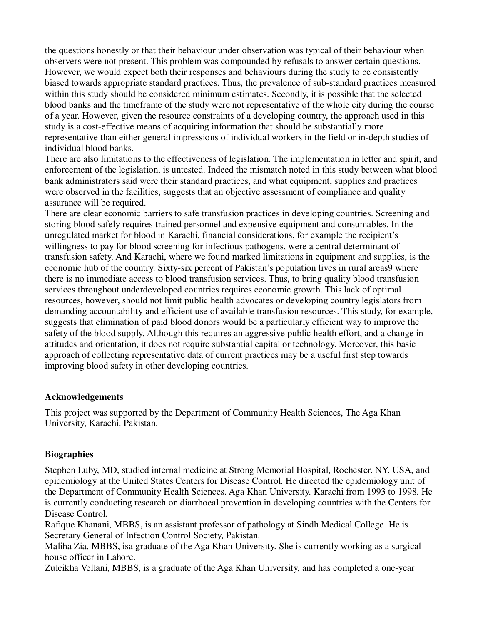the questions honestly or that their behaviour under observation was typical of their behaviour when observers were not present. This problem was compounded by refusals to answer certain questions. However, we would expect both their responses and behaviours during the study to be consistently biased towards appropriate standard practices. Thus, the prevalence of sub-standard practices measured within this study should be considered minimum estimates. Secondly, it is possible that the selected blood banks and the timeframe of the study were not representative of the whole city during the course of a year. However, given the resource constraints of a developing country, the approach used in this study is a cost-effective means of acquiring information that should be substantially more representative than either general impressions of individual workers in the field or in-depth studies of individual blood banks.

There are also limitations to the effectiveness of legislation. The implementation in letter and spirit, and enforcement of the legislation, is untested. Indeed the mismatch noted in this study between what blood bank administrators said were their standard practices, and what equipment, supplies and practices were observed in the facilities, suggests that an objective assessment of compliance and quality assurance will be required.

There are clear economic barriers to safe transfusion practices in developing countries. Screening and storing blood safely requires trained personnel and expensive equipment and consumables. In the unregulated market for blood in Karachi, financial considerations, for example the recipient's willingness to pay for blood screening for infectious pathogens, were a central determinant of transfusion safety. And Karachi, where we found marked limitations in equipment and supplies, is the economic hub of the country. Sixty-six percent of Pakistan's population lives in rural areas9 where there is no immediate access to blood transfusion services. Thus, to bring quality blood transfusion services throughout underdeveloped countries requires economic growth. This lack of optimal resources, however, should not limit public health advocates or developing country legislators from demanding accountability and efficient use of available transfusion resources. This study, for example, suggests that elimination of paid blood donors would be a particularly efficient way to improve the safety of the blood supply. Although this requires an aggressive public health effort, and a change in attitudes and orientation, it does not require substantial capital or technology. Moreover, this basic approach of collecting representative data of current practices may be a useful first step towards improving blood safety in other developing countries.

#### **Acknowledgements**

This project was supported by the Department of Community Health Sciences, The Aga Khan University, Karachi, Pakistan.

### **Biographies**

Stephen Luby, MD, studied internal medicine at Strong Memorial Hospital, Rochester. NY. USA, and epidemiology at the United States Centers for Disease Control. He directed the epidemiology unit of the Department of Community Health Sciences. Aga Khan University. Karachi from 1993 to 1998. He is currently conducting research on diarrhoeal prevention in developing countries with the Centers for Disease Control.

Rafique Khanani, MBBS, is an assistant professor of pathology at Sindh Medical College. He is Secretary General of Infection Control Society, Pakistan.

Maliha Zia, MBBS, isa graduate of the Aga Khan University. She is currently working as a surgical house officer in Lahore.

Zuleikha Vellani, MBBS, is a graduate of the Aga Khan University, and has completed a one-year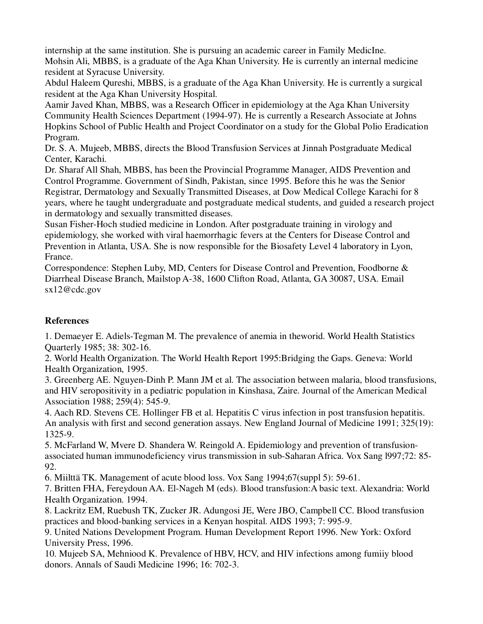internship at the same institution. She is pursuing an academic career in Family MedicIne. Mohsin Ali, MBBS, is a graduate of the Aga Khan University. He is currently an internal medicine resident at Syracuse University.

Abdul Haleem Qureshi, MBBS, is a graduate of the Aga Khan University. He is currently a surgical resident at the Aga Khan University Hospital.

Aamir Javed Khan, MBBS, was a Research Officer in epidemiology at the Aga Khan University Community Health Sciences Department (1994-97). He is currently a Research Associate at Johns Hopkins School of Public Health and Project Coordinator on a study for the Global Polio Eradication Program.

Dr. S. A. Mujeeb, MBBS, directs the Blood Transfusion Services at Jinnah Postgraduate Medical Center, Karachi.

Dr. Sharaf All Shah, MBBS, has been the Provincial Programme Manager, AIDS Prevention and Control Programme. Government of Sindh, Pakistan, since 1995. Before this he was the Senior Registrar, Dermatology and Sexually Transmitted Diseases, at Dow Medical College Karachi for 8 years, where he taught undergraduate and postgraduate medical students, and guided a research project in dermatology and sexually transmitted diseases.

Susan Fisher-Hoch studied medicine in London. After postgraduate training in virology and epidemiology, she worked with viral haemorrhagic fevers at the Centers for Disease Control and Prevention in Atlanta, USA. She is now responsible for the Biosafety Level 4 laboratory in Lyon, France.

Correspondence: Stephen Luby, MD, Centers for Disease Control and Prevention, Foodborne & Diarrheal Disease Branch, Mailstop A-38, 1600 Clifton Road, Atlanta, GA 30087, USA. Email sx12@cdc.gov

### **References**

1. Demaeyer E. Adiels-Tegman M. The prevalence of anemia in theworid. World Health Statistics Quarterly 1985; 38: 302-16.

2. World Health Organization. The World Health Report 1995:Bridging the Gaps. Geneva: World Health Organization, 1995.

3. Greenberg AE. Nguyen-Dinh P. Mann JM et al. The association between malaria, blood transfusions, and HIV seropositivity in a pediatric population in Kinshasa, Zaire. Journal of the American Medical Association 1988; 259(4): 545-9.

4. Aach RD. Stevens CE. Hollinger FB et al. Hepatitis C virus infection in post transfusion hepatitis. An analysis with first and second generation assays. New England Journal of Medicine 1991; 325(19): 1325-9.

5. McFarland W, Mvere D. Shandera W. Reingold A. Epidemiology and prevention of transfusionassociated human immunodeficiency virus transmission in sub-Saharan Africa. Vox Sang l997;72: 85- 92.

6. Miilttä TK. Management of acute blood loss. Vox Sang 1994;67(suppl 5): 59-61.

7. Britten FHA, Fereydoun AA. El-Nageh M (eds). Blood transfusion:A basic text. Alexandria: World Health Organization. 1994.

8. Lackritz EM, Ruebush TK, Zucker JR. Adungosi JE, Were JBO, Campbell CC. Blood transfusion practices and blood-banking services in a Kenyan hospital. AIDS 1993; 7: 995-9.

9. United Nations Development Program. Human Development Report 1996. New York: Oxford University Press, 1996.

10. Mujeeb SA, Mehniood K. Prevalence of HBV, HCV, and HIV infections among fumiiy blood donors. Annals of Saudi Medicine 1996; 16: 702-3.